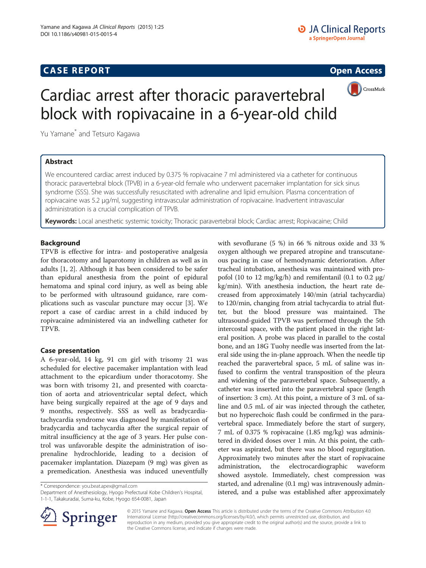# **CASE REPORT CASE REPORT CASE ACCESS**



# Cardiac arrest after thoracic paravertebral block with ropivacaine in a 6-year-old child

Yu Yamane\* and Tetsuro Kagawa

## Abstract

We encountered cardiac arrest induced by 0.375 % ropivacaine 7 ml administered via a catheter for continuous thoracic paravertebral block (TPVB) in a 6-year-old female who underwent pacemaker implantation for sick sinus syndrome (SSS). She was successfully resuscitated with adrenaline and lipid emulsion. Plasma concentration of ropivacaine was 5.2 μg/ml, suggesting intravascular administration of ropivacaine. Inadvertent intravascular administration is a crucial complication of TPVB.

Keywords: Local anesthetic systemic toxicity; Thoracic paravertebral block; Cardiac arrest; Ropivacaine; Child

## Background

TPVB is effective for intra- and postoperative analgesia for thoracotomy and laparotomy in children as well as in adults [\[1](#page-2-0), [2\]](#page-2-0). Although it has been considered to be safer than epidural anesthesia from the point of epidural hematoma and spinal cord injury, as well as being able to be performed with ultrasound guidance, rare complications such as vascular puncture may occur [\[3](#page-2-0)]. We report a case of cardiac arrest in a child induced by ropivacaine administered via an indwelling catheter for TPVB.

## Case presentation

A 6-year-old, 14 kg, 91 cm girl with trisomy 21 was scheduled for elective pacemaker implantation with lead attachment to the epicardium under thoracotomy. She was born with trisomy 21, and presented with coarctation of aorta and atrioventricular septal defect, which have being surgically repaired at the age of 9 days and 9 months, respectively. SSS as well as bradycardiatachycardia syndrome was diagnosed by manifestation of bradycardia and tachycardia after the surgical repair of mitral insufficiency at the age of 3 years. Her pulse control was unfavorable despite the administration of isoprenaline hydrochloride, leading to a decision of pacemaker implantation. Diazepam (9 mg) was given as a premedication. Anesthesia was induced uneventfully

\* Correspondence: [you.beat.apex@gmail.com](mailto:you.beat.apex@gmail.com)

Department of Anesthesiology, Hyogo Prefectural Kobe Children's Hospital, 1-1-1, Takakuradai, Suma-ku, Kobe, Hyogo 654-0081, Japan





© 2015 Yamane and Kagawa. Open Access This article is distributed under the terms of the Creative Commons Attribution 4.0 International License ([http://creativecommons.org/licenses/by/4.0/\)](http://creativecommons.org/licenses/by/4.0/), which permits unrestricted use, distribution, and reproduction in any medium, provided you give appropriate credit to the original author(s) and the source, provide a link to the Creative Commons license, and indicate if changes were made.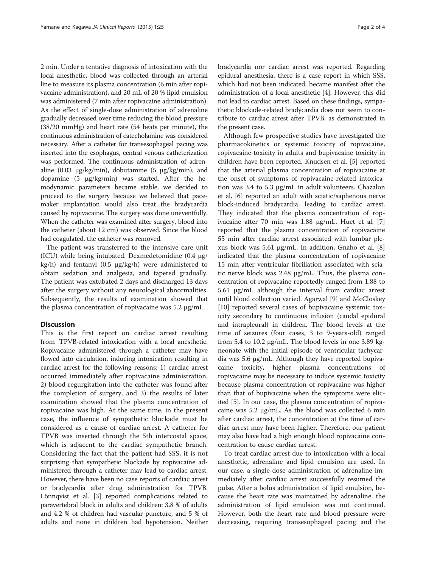2 min. Under a tentative diagnosis of intoxication with the local anesthetic, blood was collected through an arterial line to measure its plasma concentration (6 min after ropivacaine administration), and 20 mL of 20 % lipid emulsion was administered (7 min after ropivacaine administration). As the effect of single-dose administration of adrenaline gradually decreased over time reducing the blood pressure (38/20 mmHg) and heart rate (54 beats per minute), the continuous administration of catecholamine was considered necessary. After a catheter for transesophageal pacing was inserted into the esophagus, central venous catheterization was performed. The continuous administration of adrenaline (0.03  $\mu$ g/kg/min), dobutamine (5  $\mu$ g/kg/min), and dopamine (5 μg/kg/min) was started. After the hemodynamic parameters became stable, we decided to proceed to the surgery because we believed that pacemaker implantation would also treat the bradycardia caused by ropivacaine. The surgery was done uneventfully. When the catheter was examined after surgery, blood into the catheter (about 12 cm) was observed. Since the blood had coagulated, the catheter was removed.

The patient was transferred to the intensive care unit (ICU) while being intubated. Dexmedetomidine (0.4 μg/ kg/h) and fentanyl (0.5 μg/kg/h) were administered to obtain sedation and analgesia, and tapered gradually. The patient was extubated 2 days and discharged 13 days after the surgery without any neurological abnormalities. Subsequently, the results of examination showed that the plasma concentration of ropivacaine was 5.2 μg/mL.

#### **Discussion**

This is the first report on cardiac arrest resulting from TPVB-related intoxication with a local anesthetic. Ropivacaine administered through a catheter may have flowed into circulation, inducing intoxication resulting in cardiac arrest for the following reasons: 1) cardiac arrest occurred immediately after ropivacaine administration, 2) blood regurgitation into the catheter was found after the completion of surgery, and 3) the results of later examination showed that the plasma concentration of ropivacaine was high. At the same time, in the present case, the influence of sympathetic blockade must be considered as a cause of cardiac arrest. A catheter for TPVB was inserted through the 5th intercostal space, which is adjacent to the cardiac sympathetic branch. Considering the fact that the patient had SSS, it is not surprising that sympathetic blockade by ropivacaine administered through a catheter may lead to cardiac arrest. However, there have been no case reports of cardiac arrest or bradycardia after drug administration for TPVB. Lönnqvist et al. [[3\]](#page-2-0) reported complications related to paravertebral block in adults and children: 3.8 % of adults and 4.2 % of children had vascular puncture, and 5 % of adults and none in children had hypotension. Neither bradycardia nor cardiac arrest was reported. Regarding epidural anesthesia, there is a case report in which SSS, which had not been indicated, became manifest after the administration of a local anesthetic [[4\]](#page-2-0). However, this did not lead to cardiac arrest. Based on these findings, sympathetic blockade-related bradycardia does not seem to contribute to cardiac arrest after TPVB, as demonstrated in the present case.

Although few prospective studies have investigated the pharmacokinetics or systemic toxicity of ropivacaine, ropivacaine toxicity in adults and bupivacaine toxicity in children have been reported. Knudsen et al. [\[5](#page-2-0)] reported that the arterial plasma concentration of ropivacaine at the onset of symptoms of ropivacaine-related intoxication was 3.4 to 5.3 μg/mL in adult volunteers. Chazalon et al. [[6\]](#page-2-0) reported an adult with sciatic/saphenous nerve block-induced bradycardia, leading to cardiac arrest. They indicated that the plasma concentration of ropivacaine after 70 min was 1.88 μg/mL. Huet et al. [\[7](#page-2-0)] reported that the plasma concentration of ropivacaine 55 min after cardiac arrest associated with lumbar plexus block was 5.61 μg/mL. In addition, Gnaho et al. [\[8](#page-2-0)] indicated that the plasma concentration of ropivacaine 15 min after ventricular fibrillation associated with sciatic nerve block was 2.48 μg/mL. Thus, the plasma concentration of ropivacaine reportedly ranged from 1.88 to 5.61 μg/mL although the interval from cardiac arrest until blood collection varied. Agarwal [\[9](#page-2-0)] and McCloskey [[10\]](#page-2-0) reported several cases of bupivacaine systemic toxicity secondary to continuous infusion (caudal epidural and intrapleural) in children. The blood levels at the time of seizures (four cases, 3 to 9-years-old) ranged from 5.4 to 10.2 μg/mL. The blood levels in one 3.89 kgneonate with the initial episode of ventricular tachycardia was 5.6 μg/mL. Although they have reported bupivacaine toxicity, higher plasma concentrations of ropivacaine may be necessary to induce systemic toxicity because plasma concentration of ropivacaine was higher than that of bupivacaine when the symptoms were elicited [\[5](#page-2-0)]. In our case, the plasma concentration of ropivacaine was 5.2 μg/mL. As the blood was collected 6 min after cardiac arrest, the concentration at the time of cardiac arrest may have been higher. Therefore, our patient may also have had a high enough blood ropivacaine concentration to cause cardiac arrest.

To treat cardiac arrest due to intoxication with a local anesthetic, adrenaline and lipid emulsion are used. In our case, a single-dose administration of adrenaline immediately after cardiac arrest successfully resumed the pulse. After a bolus administration of lipid emulsion, because the heart rate was maintained by adrenaline, the administration of lipid emulsion was not continued. However, both the heart rate and blood pressure were decreasing, requiring transesophageal pacing and the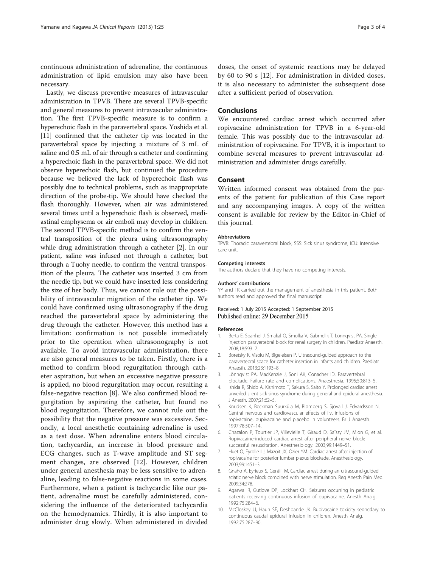<span id="page-2-0"></span>continuous administration of adrenaline, the continuous administration of lipid emulsion may also have been necessary.

Lastly, we discuss preventive measures of intravascular administration in TPVB. There are several TPVB-specific and general measures to prevent intravascular administration. The first TPVB-specific measure is to confirm a hyperechoic flash in the paravertebral space. Yoshida et al. [[11](#page-3-0)] confirmed that the catheter tip was located in the paravertebral space by injecting a mixture of 3 mL of saline and 0.5 mL of air through a catheter and confirming a hyperechoic flash in the paravertebral space. We did not observe hyperechoic flash, but continued the procedure because we believed the lack of hyperechoic flash was possibly due to technical problems, such as inappropriate direction of the probe-tip. We should have checked the flash thoroughly. However, when air was administered several times until a hyperechoic flash is observed, mediastinal emphysema or air emboli may develop in children. The second TPVB-specific method is to confirm the ventral transposition of the pleura using ultrasonography while drug administration through a catheter [2]. In our patient, saline was infused not through a catheter, but through a Tuohy needle, to confirm the ventral transposition of the pleura. The catheter was inserted 3 cm from the needle tip, but we could have inserted less considering the size of her body. Thus, we cannot rule out the possibility of intravascular migration of the catheter tip. We could have confirmed using ultrasonography if the drug reached the paravertebral space by administering the drug through the catheter. However, this method has a limitation: confirmation is not possible immediately prior to the operation when ultrasonography is not available. To avoid intravascular administration, there are also general measures to be taken. Firstly, there is a method to confirm blood regurgitation through catheter aspiration, but when an excessive negative pressure is applied, no blood regurgitation may occur, resulting a false-negative reaction [8]. We also confirmed blood regurgitation by aspirating the catheter, but found no blood regurgitation. Therefore, we cannot rule out the possibility that the negative pressure was excessive. Secondly, a local anesthetic containing adrenaline is used as a test dose. When adrenaline enters blood circulation, tachycardia, an increase in blood pressure and ECG changes, such as T-wave amplitude and ST segment changes, are observed [\[12](#page-3-0)]. However, children under general anesthesia may be less sensitive to adrenaline, leading to false-negative reactions in some cases. Furthermore, when a patient is tachycardic like our patient, adrenaline must be carefully administered, considering the influence of the deteriorated tachycardia on the hemodynamics. Thirdly, it is also important to administer drug slowly. When administered in divided

doses, the onset of systemic reactions may be delayed by 60 to 90 s [\[12](#page-3-0)]. For administration in divided doses, it is also necessary to administer the subsequent dose after a sufficient period of observation.

#### Conclusions

We encountered cardiac arrest which occurred after ropivacaine administration for TPVB in a 6-year-old female. This was possibly due to the intravascular administration of ropivacaine. For TPVB, it is important to combine several measures to prevent intravascular administration and administer drugs carefully.

### Consent

Written informed consent was obtained from the parents of the patient for publication of this Case report and any accompanying images. A copy of the written consent is available for review by the Editor-in-Chief of this journal.

#### Abbreviations

TPVB: Thoracic paravertebral block; SSS: Sick sinus syndrome; ICU: Intensive care unit.

#### Competing interests

The authors declare that they have no competing interests.

#### Authors' contributions

YY and TK carried out the management of anesthesia in this patient. Both authors read and approved the final manuscript.

#### Received: 1 July 2015 Accepted: 1 September 2015 Published online: 29 December 2015

#### References

- 1. Berta E, Spanhel J, Smakal O, Smolka V, Gabrhelik T, Lönnqvist PA. Single injection paravertebral block for renal surgery in children. Paediatr Anaesth. 2008;18:593–7.
- 2. Boretsky K, Visoiu M, Bigeleisen P. Ultrasound-guided approach to the paravertebral space for catheter insertion in infants and children. Paediatr Anaesth. 2013;23:1193–8.
- 3. Lönnqvist PA, MacKenzie J, Soni AK, Conacher ID. Paravertebral blockade. Failure rate and complications. Anaesthesia. 1995;50:813–5.
- 4. Ishida R, Shido A, Kishimoto T, Sakura S, Saito Y. Prolonged cardiac arrest unveiled silent sick sinus syndrome during general and epidural anesthesia. J Anesth. 2007;21:62–5.
- 5. Knudsen K, Beckman Suurküla M, Blomberg S, Sjövall J, Edvardsson N. Central nervous and cardiovascular effects of i.v. infusions of ropivacaine, bupivacaine and placebo in volunteers. Br J Anaesth. 1997;78:507–14.
- 6. Chazalon P, Tourtier JP, Villevielle T, Giraud D, Saïssy JM, Mion G, et al. Ropivacaine-induced cardiac arrest after peripheral nerve block: successful resuscitation. Anesthesiology. 2003;99:1449–51.
- 7. Huet O, Eyrolle LJ, Mazoit JX, Ozier YM. Cardiac arrest after injection of ropivacaine for posterior lumbar plexus blockade. Anesthesiology. 2003;99:1451–3.
- Gnaho A, Eyrieux S, Gentili M. Cardiac arrest during an ultrasound-guided sciatic nerve block combined with nerve stimulation. Reg Anesth Pain Med. 2009;34:278.
- 9. Agarwal R, Gutlove DP, Lockhart CH. Seizures occurring in pediatric patients receiving continuous infusion of bupivacaine. Anesth Analg. 1992;75:284–6.
- 10. McCloskey JJ, Haun SE, Deshpande JK. Bupivacaine toxicity seoncdary to continuous caudal epidural infusion in children. Anesth Analg. 1992;75:287–90.